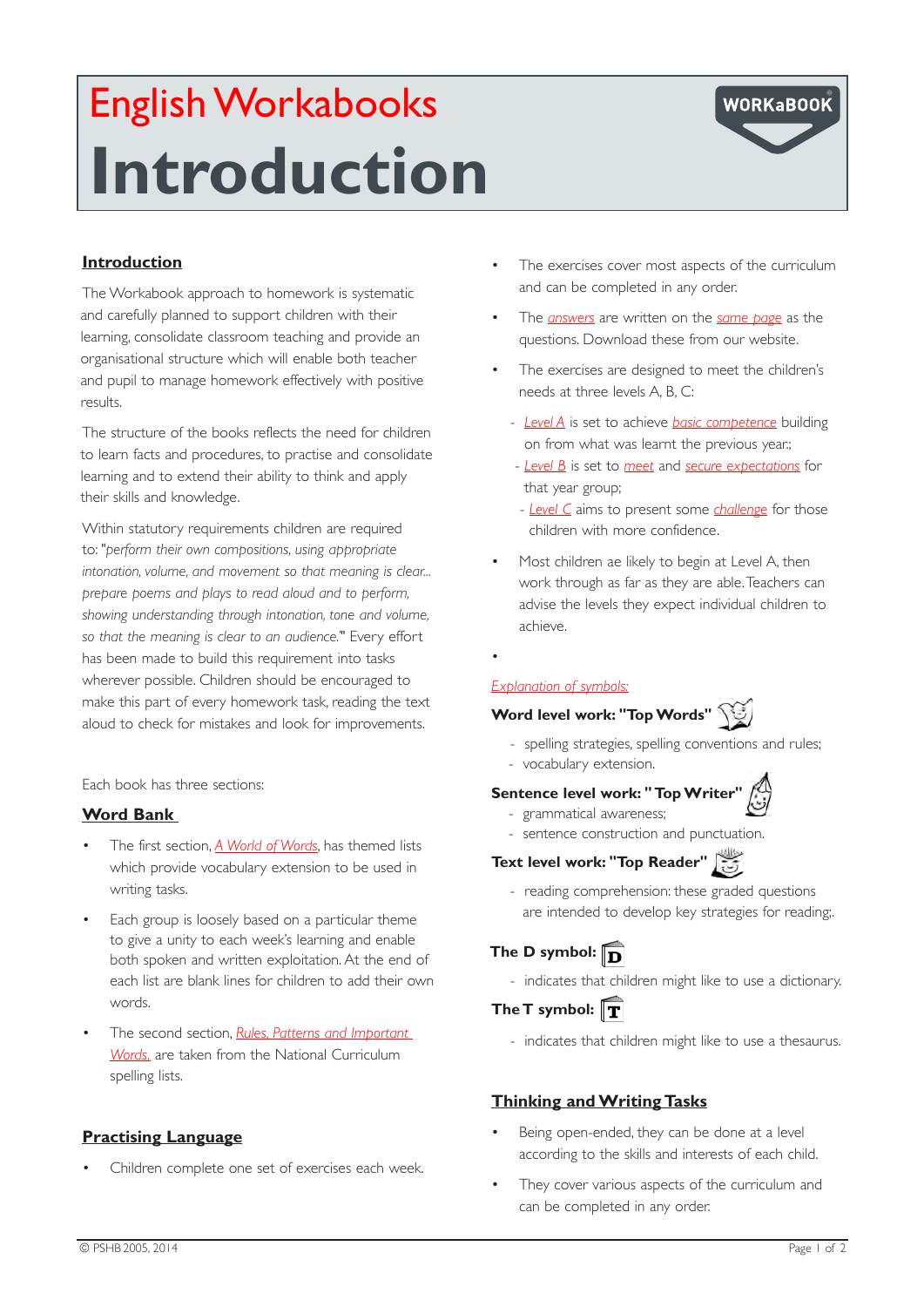# English Workabooks **Introduction**



## **Introduction**

The Workabook approach to homework is systematic and carefully planned to support children with their learning, consolidate classroom teaching and provide an organisational structure which will enable both teacher and pupil to manage homework effectively with positive results.

The structure of the books reflects the need for children to learn facts and procedures, to practise and consolidate learning and to extend their ability to think and apply their skills and knowledge.

Within statutory requirements children are required to: "*perform their own compositions, using appropriate intonation, volume, and movement so that meaning is clear... prepare poems and plays to read aloud and to perform, showing understanding through intonation, tone and volume, so that the meaning is clear to an audience.'"* Every effort has been made to build this requirement into tasks wherever possible. Children should be encouraged to make this part of every homework task, reading the text aloud to check for mistakes and look for improvements.

Each book has three sections:

## **Word Bank**

- The first section, A World of Words, has themed lists which provide vocabulary extension to be used in writing tasks.
- Each group is loosely based on a particular theme to give a unity to each week's learning and enable both spoken and written exploitation. At the end of each list are blank lines for children to add their own words.
- The second section, *Rules, Patterns and Important Words,* are taken from the National Curriculum spelling lists.

## **Practising Language**

Children complete one set of exercises each week.

- The exercises cover most aspects of the curriculum and can be completed in any order.
- The *answers* are written on the *same page* as the questions. Download these from our website.
- The exercises are designed to meet the children's needs at three levels A, B, C:
	- *Level A* is set to achieve *basic competence* building on from what was learnt the previous year.;
	- *Level B* is set to *meet* and *secure expectations* for that year group;
	- *Level C* aims to present some *challenge* for those children with more confidence.
- Most children ae likely to begin at Level A, then work through as far as they are able. Teachers can advise the levels they expect individual children to achieve.
- •

#### *Explanation of symbols:*

# **Word level work: "Top Words"**

- spelling strategies, spelling conventions and rules;
- vocabulary extension.

## **Sentence level work: " Top Writer"**  $\left(\begin{matrix} 0 \\ \frac{1}{2} \end{matrix}\right)$

- grammatical awareness;
- sentence construction and punctuation.

## **Text level work: "Top Reader"**

 - reading comprehension: these graded questions are intended to develop key strategies for reading;.

## **The D symbol:**

- indicates that children might like to use a dictionary.

## The T symbol: T

- indicates that children might like to use a thesaurus.

## **Thinking and Writing Tasks**

- Being open-ended, they can be done at a level according to the skills and interests of each child.
- They cover various aspects of the curriculum and can be completed in any order.